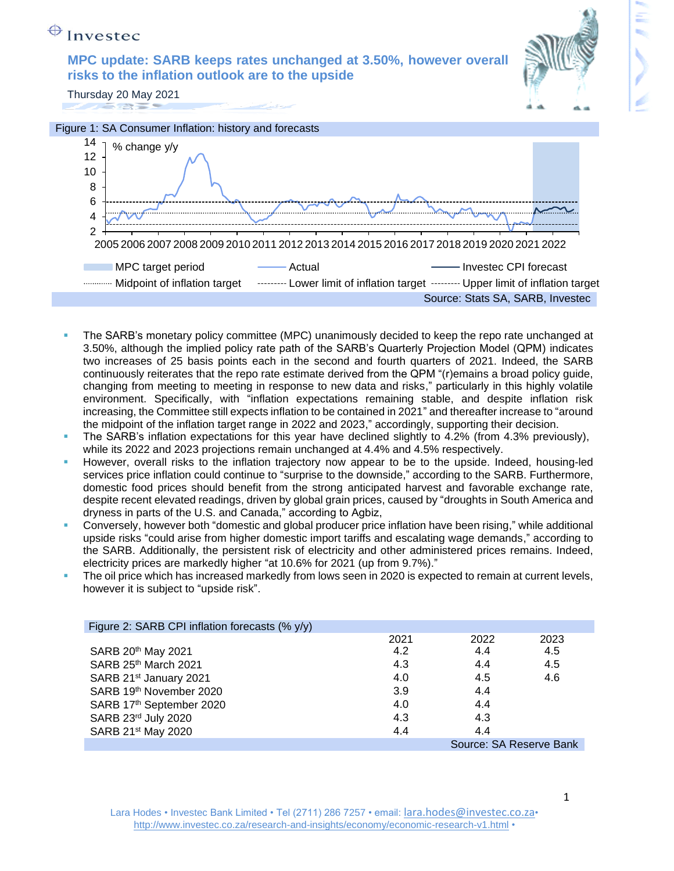

- The SARB's monetary policy committee (MPC) unanimously decided to keep the repo rate unchanged at 3.50%, although the implied policy rate path of the SARB's Quarterly Projection Model (QPM) indicates two increases of 25 basis points each in the second and fourth quarters of 2021. Indeed, the SARB continuously reiterates that the repo rate estimate derived from the QPM "(r)emains a broad policy guide, changing from meeting to meeting in response to new data and risks," particularly in this highly volatile environment. Specifically, with "inflation expectations remaining stable, and despite inflation risk increasing, the Committee still expects inflation to be contained in 2021" and thereafter increase to "around the midpoint of the inflation target range in 2022 and 2023," accordingly, supporting their decision.
- The SARB's inflation expectations for this year have declined slightly to 4.2% (from 4.3% previously), while its 2022 and 2023 projections remain unchanged at 4.4% and 4.5% respectively.
- However, overall risks to the inflation trajectory now appear to be to the upside. Indeed, housing-led services price inflation could continue to "surprise to the downside," according to the SARB. Furthermore, domestic food prices should benefit from the strong anticipated harvest and favorable exchange rate, despite recent elevated readings, driven by global grain prices, caused by "droughts in South America and dryness in parts of the U.S. and Canada," according to Agbiz,
- Conversely, however both "domestic and global producer price inflation have been rising," while additional upside risks "could arise from higher domestic import tariffs and escalating wage demands," according to the SARB. Additionally, the persistent risk of electricity and other administered prices remains. Indeed, electricity prices are markedly higher "at 10.6% for 2021 (up from 9.7%)."
- The oil price which has increased markedly from lows seen in 2020 is expected to remain at current levels, however it is subject to "upside risk".

| Figure 2: SARB CPI inflation forecasts (% y/y) |      |      |      |  |  |  |
|------------------------------------------------|------|------|------|--|--|--|
|                                                | 2021 | 2022 | 2023 |  |  |  |
| SARB 20th May 2021                             | 4.2  | 4.4  | 4.5  |  |  |  |
| SARB 25th March 2021                           | 4.3  | 4.4  | 4.5  |  |  |  |
| SARB 21 <sup>st</sup> January 2021             | 4.0  | 4.5  | 4.6  |  |  |  |
| SARB 19th November 2020                        | 3.9  | 4.4  |      |  |  |  |
| SARB 17th September 2020                       | 4.0  | 4.4  |      |  |  |  |
| SARB 23rd July 2020                            | 4.3  | 4.3  |      |  |  |  |
| SARB 21 <sup>st</sup> May 2020                 | 4.4  | 4.4  |      |  |  |  |
| Source: SA Reserve Bank                        |      |      |      |  |  |  |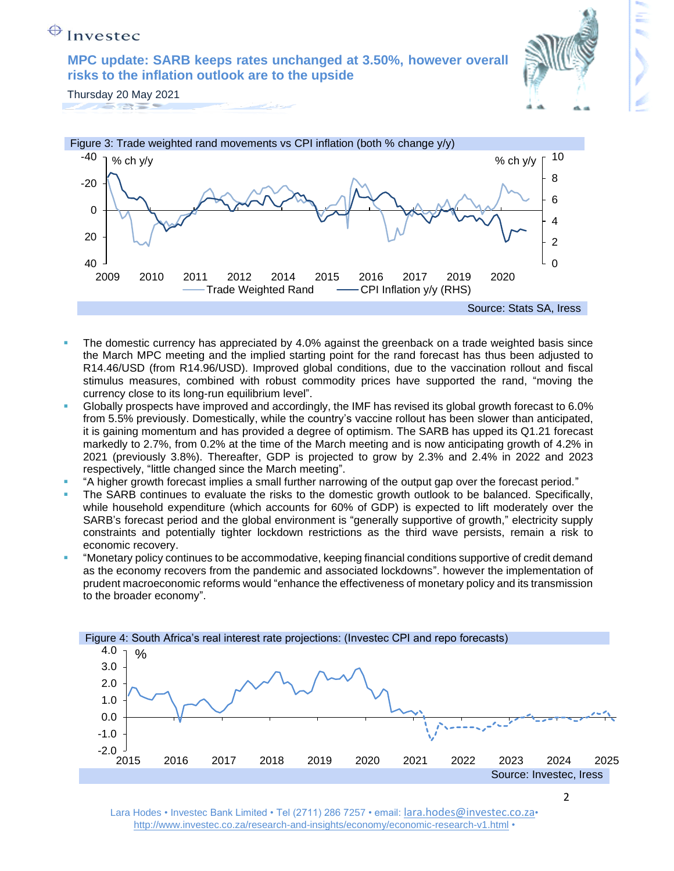**MPC update: SARB keeps rates unchanged at 3.50%, however overall risks to the inflation outlook are to the upside** 



Thursday 20 May 2021 



- The domestic currency has appreciated by 4.0% against the greenback on a trade weighted basis since the March MPC meeting and the implied starting point for the rand forecast has thus been adjusted to R14.46/USD (from R14.96/USD). Improved global conditions, due to the vaccination rollout and fiscal stimulus measures, combined with robust commodity prices have supported the rand, "moving the currency close to its long-run equilibrium level".
- Globally prospects have improved and accordingly, the IMF has revised its global growth forecast to 6.0% from 5.5% previously. Domestically, while the country's vaccine rollout has been slower than anticipated, it is gaining momentum and has provided a degree of optimism. The SARB has upped its Q1.21 forecast markedly to 2.7%, from 0.2% at the time of the March meeting and is now anticipating growth of 4.2% in 2021 (previously 3.8%). Thereafter, GDP is projected to grow by 2.3% and 2.4% in 2022 and 2023 respectively, "little changed since the March meeting".
- "A higher growth forecast implies a small further narrowing of the output gap over the forecast period."
- The SARB continues to evaluate the risks to the domestic growth outlook to be balanced. Specifically, while household expenditure (which accounts for 60% of GDP) is expected to lift moderately over the SARB's forecast period and the global environment is "generally supportive of growth," electricity supply constraints and potentially tighter lockdown restrictions as the third wave persists, remain a risk to economic recovery.
- "Monetary policy continues to be accommodative, keeping financial conditions supportive of credit demand as the economy recovers from the pandemic and associated lockdowns". however the implementation of prudent macroeconomic reforms would "enhance the effectiveness of monetary policy and its transmission to the broader economy".



Lara Hodes • Investec Bank Limited • Tel (2711) 286 7257 • email: lara.hodes@investec.co.za• <http://www.investec.co.za/research-and-insights/economy/economic-research-v1.html> •

2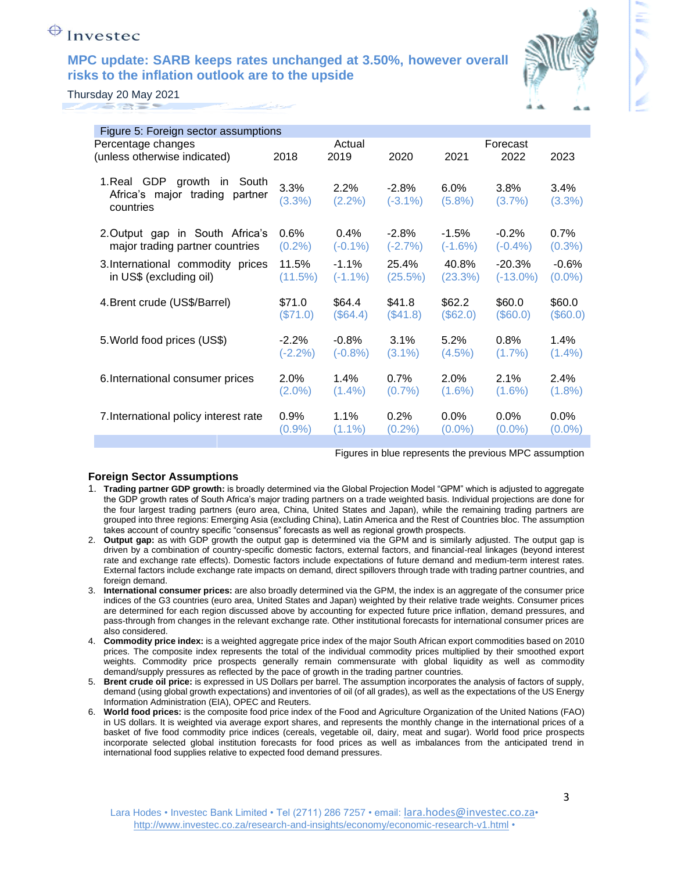## **MPC update: SARB keeps rates unchanged at 3.50%, however overall risks to the inflation outlook are to the upside**



Thursday 20 May 2021 

| Figure 5: Foreign sector assumptions                                       |                |                    |                        |                      |                   |                   |
|----------------------------------------------------------------------------|----------------|--------------------|------------------------|----------------------|-------------------|-------------------|
| Percentage changes                                                         |                | Actual<br>Forecast |                        |                      |                   |                   |
| (unless otherwise indicated)                                               | 2018           | 2019               | 2020                   | 2021                 | 2022              | 2023              |
| 1. Real GDP growth in South<br>Africa's major trading partner<br>countries | 3.3%<br>(3.3%) | 2.2%<br>(2.2%)     | $-2.8\%$<br>$(-3.1\%)$ | $6.0\%$<br>$(5.8\%)$ | 3.8%<br>$(3.7\%)$ | $3.4\%$<br>(3.3%) |
| 2. Output gap in South Africa's                                            | 0.6%           | $0.4\%$            | $-2.8\%$               | $-1.5\%$             | $-0.2%$           | $0.7\%$           |
| major trading partner countries                                            | $(0.2\%)$      | $(-0.1\%)$         | $(-2.7%)$              | $(-1.6%)$            | $(-0.4\%)$        | $(0.3\%)$         |
| 3. International commodity prices                                          | 11.5%          | $-1.1%$            | 25.4%                  | 40.8%                | $-20.3%$          | $-0.6%$           |
| in US\$ (excluding oil)                                                    | (11.5%)        | $(-1.1\%)$         | (25.5%)                | (23.3%)              | $(-13.0\%)$       | $(0.0\%)$         |
| 4. Brent crude (US\$/Barrel)                                               | \$71.0         | \$64.4             | \$41.8                 | \$62.2               | \$60.0            | \$60.0            |
|                                                                            | $(\$71.0)$     | $(\$64.4)$         | (\$41.8)               | (\$62.0)             | $(\$60.0)$        | (\$60.0)          |
| 5. World food prices (US\$)                                                | $-2.2%$        | $-0.8%$            | 3.1%                   | 5.2%                 | 0.8%              | 1.4%              |
|                                                                            | $(-2.2%)$      | $(-0.8% )$         | $(3.1\%)$              | $(4.5\%)$            | $(1.7\%)$         | $(1.4\%)$         |
| 6. International consumer prices                                           | 2.0%           | 1.4%               | 0.7%                   | 2.0%                 | 2.1%              | 2.4%              |
|                                                                            | $(2.0\%)$      | $(1.4\%)$          | $(0.7\%)$              | $(1.6\%)$            | $(1.6\%)$         | $(1.8\%)$         |
| 7. International policy interest rate                                      | 0.9%           | 1.1%               | 0.2%                   | 0.0%                 | 0.0%              | 0.0%              |
|                                                                            | $(0.9\%)$      | $(1.1\%)$          | $(0.2\%)$              | $(0.0\%)$            | $(0.0\%)$         | $(0.0\%)$         |
|                                                                            |                |                    |                        |                      |                   |                   |

Figures in blue represents the previous MPC assumption

#### **Foreign Sector Assumptions**

- 1. **Trading partner GDP growth:** is broadly determined via the Global Projection Model "GPM" which is adjusted to aggregate the GDP growth rates of South Africa's major trading partners on a trade weighted basis. Individual projections are done for the four largest trading partners (euro area, China, United States and Japan), while the remaining trading partners are grouped into three regions: Emerging Asia (excluding China), Latin America and the Rest of Countries bloc. The assumption takes account of country specific "consensus" forecasts as well as regional growth prospects.
- 2. **Output gap:** as with GDP growth the output gap is determined via the GPM and is similarly adjusted. The output gap is driven by a combination of country-specific domestic factors, external factors, and financial-real linkages (beyond interest rate and exchange rate effects). Domestic factors include expectations of future demand and medium-term interest rates. External factors include exchange rate impacts on demand, direct spillovers through trade with trading partner countries, and foreign demand.
- 3. **International consumer prices:** are also broadly determined via the GPM, the index is an aggregate of the consumer price indices of the G3 countries (euro area, United States and Japan) weighted by their relative trade weights. Consumer prices are determined for each region discussed above by accounting for expected future price inflation, demand pressures, and pass-through from changes in the relevant exchange rate. Other institutional forecasts for international consumer prices are also considered.
- 4. **Commodity price index:** is a weighted aggregate price index of the major South African export commodities based on 2010 prices. The composite index represents the total of the individual commodity prices multiplied by their smoothed export weights. Commodity price prospects generally remain commensurate with global liquidity as well as commodity demand/supply pressures as reflected by the pace of growth in the trading partner countries.
- 5. **Brent crude oil price:** is expressed in US Dollars per barrel. The assumption incorporates the analysis of factors of supply, demand (using global growth expectations) and inventories of oil (of all grades), as well as the expectations of the US Energy Information Administration (EIA), OPEC and Reuters.
- 6. **World food prices:** is the composite food price index of the Food and Agriculture Organization of the United Nations (FAO) in US dollars. It is weighted via average export shares, and represents the monthly change in the international prices of a basket of five food commodity price indices (cereals, vegetable oil, dairy, meat and sugar). World food price prospects incorporate selected global institution forecasts for food prices as well as imbalances from the anticipated trend in international food supplies relative to expected food demand pressures.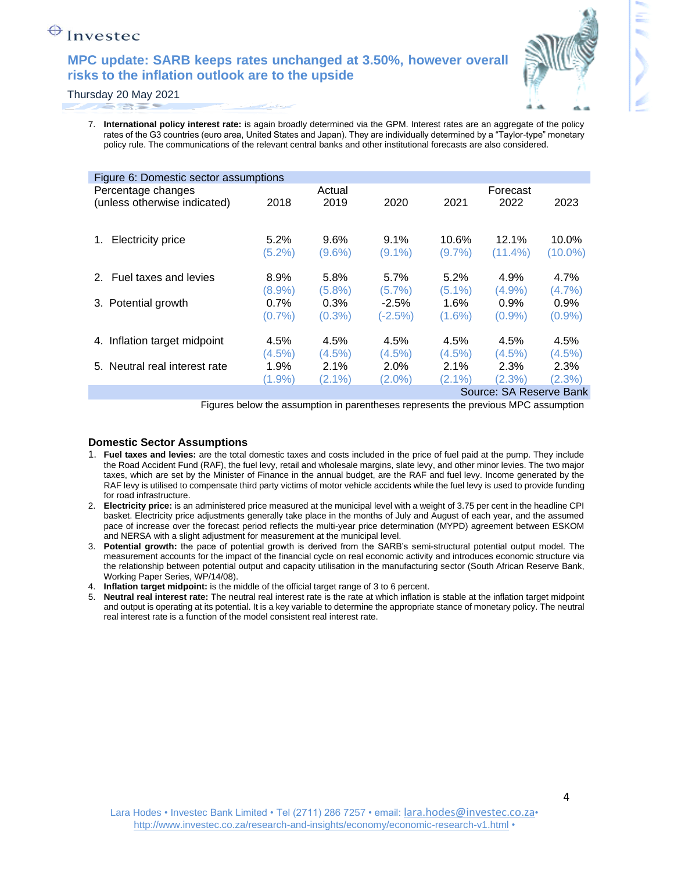## **MPC update: SARB keeps rates unchanged at 3.50%, however overall risks to the inflation outlook are to the upside**



Thursday 20 May 2021 

> 7. **International policy interest rate:** is again broadly determined via the GPM. Interest rates are an aggregate of the policy rates of the G3 countries (euro area, United States and Japan). They are individually determined by a "Taylor-type" monetary policy rule. The communications of the relevant central banks and other institutional forecasts are also considered.

| Figure 6: Domestic sector assumptions |           |           |           |           |            |            |  |  |  |
|---------------------------------------|-----------|-----------|-----------|-----------|------------|------------|--|--|--|
| Percentage changes                    | Actual    |           |           | Forecast  |            |            |  |  |  |
| (unless otherwise indicated)          | 2018      | 2019      | 2020      | 2021      | 2022       | 2023       |  |  |  |
|                                       |           |           |           |           |            |            |  |  |  |
| <b>Electricity price</b><br>1.        | $5.2\%$   | 9.6%      | $9.1\%$   | 10.6%     | 12.1%      | 10.0%      |  |  |  |
|                                       | $(5.2\%)$ | $(9.6\%)$ | $(9.1\%)$ | $(9.7\%)$ | $(11.4\%)$ | $(10.0\%)$ |  |  |  |
|                                       |           |           |           |           |            |            |  |  |  |
| 2. Fuel taxes and levies              | 8.9%      | 5.8%      | 5.7%      | 5.2%      | 4.9%       | 4.7%       |  |  |  |
|                                       | $(8.9\%)$ | $(5.8\%)$ | $(5.7\%)$ | $(5.1\%)$ | (4.9%      | $(4.7\%)$  |  |  |  |
| 3. Potential growth                   | $0.7\%$   | $0.3\%$   | $-2.5%$   | $1.6\%$   | 0.9%       | $0.9\%$    |  |  |  |
|                                       | (0.7%     | $(0.3\%)$ | $(-2.5%)$ | $(1.6\%)$ | $(0.9\%)$  | $(0.9\%)$  |  |  |  |
|                                       |           |           |           |           |            |            |  |  |  |
| 4. Inflation target midpoint          | 4.5%      | 4.5%      | 4.5%      | 4.5%      | 4.5%       | 4.5%       |  |  |  |
|                                       | $(4.5\%)$ | $(4.5\%)$ | $(4.5\%)$ | $(4.5\%)$ | $(4.5\%)$  | (4.5%)     |  |  |  |
| 5. Neutral real interest rate         | 1.9%      | $2.1\%$   | 2.0%      | $2.1\%$   | 2.3%       | 2.3%       |  |  |  |
|                                       | (1.9%     | $(2.1\%)$ | $(2.0\%)$ | $(2.1\%)$ | $(2.3\%)$  | (2.3%)     |  |  |  |
| Source: SA Reserve Bank               |           |           |           |           |            |            |  |  |  |

Figures below the assumption in parentheses represents the previous MPC assumption

#### **Domestic Sector Assumptions**

- 1. **Fuel taxes and levies:** are the total domestic taxes and costs included in the price of fuel paid at the pump. They include the Road Accident Fund (RAF), the fuel levy, retail and wholesale margins, slate levy, and other minor levies. The two major taxes, which are set by the Minister of Finance in the annual budget, are the RAF and fuel levy. Income generated by the RAF levy is utilised to compensate third party victims of motor vehicle accidents while the fuel levy is used to provide funding for road infrastructure.
- 2. **Electricity price:** is an administered price measured at the municipal level with a weight of 3.75 per cent in the headline CPI basket. Electricity price adjustments generally take place in the months of July and August of each year, and the assumed pace of increase over the forecast period reflects the multi-year price determination (MYPD) agreement between ESKOM and NERSA with a slight adjustment for measurement at the municipal level.
- 3. **Potential growth:** the pace of potential growth is derived from the SARB's semi-structural potential output model. The measurement accounts for the impact of the financial cycle on real economic activity and introduces economic structure via the relationship between potential output and capacity utilisation in the manufacturing sector (South African Reserve Bank, Working Paper Series, WP/14/08).
- 4. **Inflation target midpoint:** is the middle of the official target range of 3 to 6 percent.
- 5. **Neutral real interest rate:** The neutral real interest rate is the rate at which inflation is stable at the inflation target midpoint and output is operating at its potential. It is a key variable to determine the appropriate stance of monetary policy. The neutral real interest rate is a function of the model consistent real interest rate.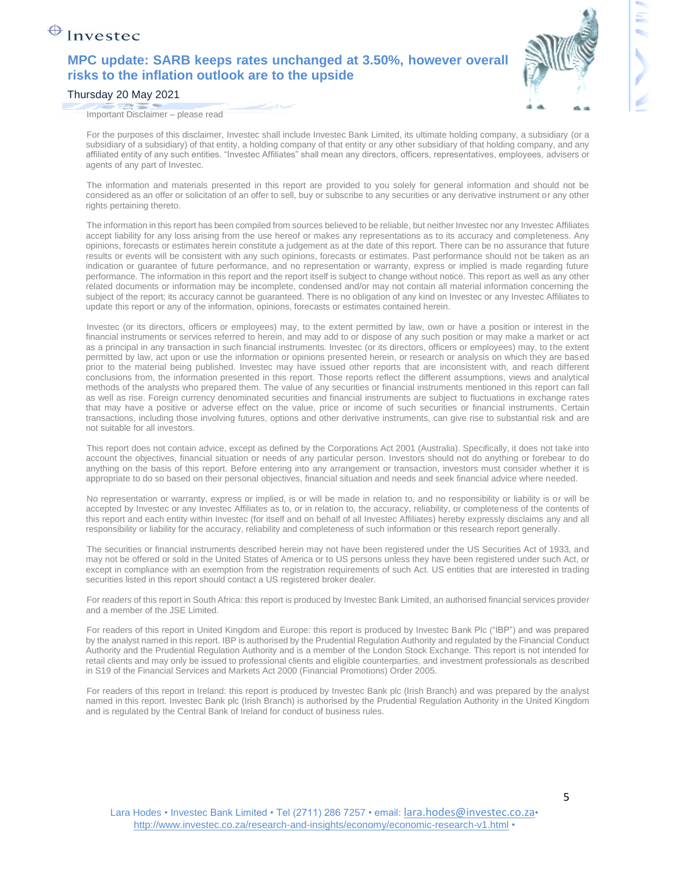## **MPC update: SARB keeps rates unchanged at 3.50%, however overall risks to the inflation outlook are to the upside**



Thursday 20 May 2021

Important Disclaimer – please read

For the purposes of this disclaimer, Investec shall include Investec Bank Limited, its ultimate holding company, a subsidiary (or a subsidiary of a subsidiary) of that entity, a holding company of that entity or any other subsidiary of that holding company, and any affiliated entity of any such entities. "Investec Affiliates" shall mean any directors, officers, representatives, employees, advisers or agents of any part of Investec.

The information and materials presented in this report are provided to you solely for general information and should not be considered as an offer or solicitation of an offer to sell, buy or subscribe to any securities or any derivative instrument or any other rights pertaining thereto.

The information in this report has been compiled from sources believed to be reliable, but neither Investec nor any Investec Affiliates accept liability for any loss arising from the use hereof or makes any representations as to its accuracy and completeness. Any opinions, forecasts or estimates herein constitute a judgement as at the date of this report. There can be no assurance that future results or events will be consistent with any such opinions, forecasts or estimates. Past performance should not be taken as an indication or guarantee of future performance, and no representation or warranty, express or implied is made regarding future performance. The information in this report and the report itself is subject to change without notice. This report as well as any other related documents or information may be incomplete, condensed and/or may not contain all material information concerning the subject of the report; its accuracy cannot be guaranteed. There is no obligation of any kind on Investec or any Investec Affiliates to update this report or any of the information, opinions, forecasts or estimates contained herein.

Investec (or its directors, officers or employees) may, to the extent permitted by law, own or have a position or interest in the financial instruments or services referred to herein, and may add to or dispose of any such position or may make a market or act as a principal in any transaction in such financial instruments. Investec (or its directors, officers or employees) may, to the extent permitted by law, act upon or use the information or opinions presented herein, or research or analysis on which they are based prior to the material being published. Investec may have issued other reports that are inconsistent with, and reach different conclusions from, the information presented in this report. Those reports reflect the different assumptions, views and analytical methods of the analysts who prepared them. The value of any securities or financial instruments mentioned in this report can fall as well as rise. Foreign currency denominated securities and financial instruments are subject to fluctuations in exchange rates that may have a positive or adverse effect on the value, price or income of such securities or financial instruments. Certain transactions, including those involving futures, options and other derivative instruments, can give rise to substantial risk and are not suitable for all investors.

This report does not contain advice, except as defined by the Corporations Act 2001 (Australia). Specifically, it does not take into account the objectives, financial situation or needs of any particular person. Investors should not do anything or forebear to do anything on the basis of this report. Before entering into any arrangement or transaction, investors must consider whether it is appropriate to do so based on their personal objectives, financial situation and needs and seek financial advice where needed.

No representation or warranty, express or implied, is or will be made in relation to, and no responsibility or liability is or will be accepted by Investec or any Investec Affiliates as to, or in relation to, the accuracy, reliability, or completeness of the contents of this report and each entity within Investec (for itself and on behalf of all Investec Affiliates) hereby expressly disclaims any and all responsibility or liability for the accuracy, reliability and completeness of such information or this research report generally.

The securities or financial instruments described herein may not have been registered under the US Securities Act of 1933, and may not be offered or sold in the United States of America or to US persons unless they have been registered under such Act, or except in compliance with an exemption from the registration requirements of such Act. US entities that are interested in trading securities listed in this report should contact a US registered broker dealer.

For readers of this report in South Africa: this report is produced by Investec Bank Limited, an authorised financial services provider and a member of the JSE Limited.

For readers of this report in United Kingdom and Europe: this report is produced by Investec Bank Plc ("IBP") and was prepared by the analyst named in this report. IBP is authorised by the Prudential Regulation Authority and regulated by the Financial Conduct Authority and the Prudential Regulation Authority and is a member of the London Stock Exchange. This report is not intended for retail clients and may only be issued to professional clients and eligible counterparties, and investment professionals as described in S19 of the Financial Services and Markets Act 2000 (Financial Promotions) Order 2005.

For readers of this report in Ireland: this report is produced by Investec Bank plc (Irish Branch) and was prepared by the analyst named in this report. Investec Bank plc (Irish Branch) is authorised by the Prudential Regulation Authority in the United Kingdom and is regulated by the Central Bank of Ireland for conduct of business rules.